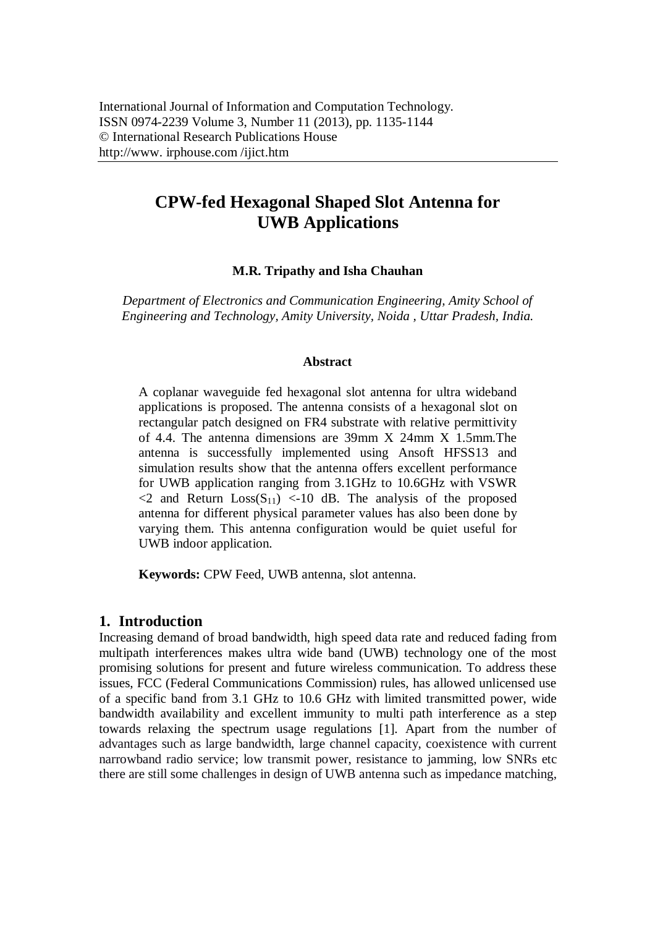# **CPW-fed Hexagonal Shaped Slot Antenna for UWB Applications**

# **M.R. Tripathy and Isha Chauhan**

*Department of Electronics and Communication Engineering, Amity School of Engineering and Technology, Amity University, Noida , Uttar Pradesh, India.*

### **Abstract**

A coplanar waveguide fed hexagonal slot antenna for ultra wideband applications is proposed. The antenna consists of a hexagonal slot on rectangular patch designed on FR4 substrate with relative permittivity of 4.4. The antenna dimensions are 39mm X 24mm X 1.5mm.The antenna is successfully implemented using Ansoft HFSS13 and simulation results show that the antenna offers excellent performance for UWB application ranging from 3.1GHz to 10.6GHz with VSWR  $\langle 2 \rangle$  and Return  $Loss(S_{11}) \langle -10 \rangle$  dB. The analysis of the proposed antenna for different physical parameter values has also been done by varying them. This antenna configuration would be quiet useful for UWB indoor application.

**Keywords:** CPW Feed, UWB antenna, slot antenna.

# **1. Introduction**

Increasing demand of broad bandwidth, high speed data rate and reduced fading from multipath interferences makes ultra wide band (UWB) technology one of the most promising solutions for present and future wireless communication. To address these issues, FCC (Federal Communications Commission) rules, has allowed unlicensed use of a specific band from 3.1 GHz to 10.6 GHz with limited transmitted power, wide bandwidth availability and excellent immunity to multi path interference as a step towards relaxing the spectrum usage regulations [1]. Apart from the number of advantages such as large bandwidth, large channel capacity, coexistence with current narrowband radio service; low transmit power, resistance to jamming, low SNRs etc there are still some challenges in design of UWB antenna such as impedance matching,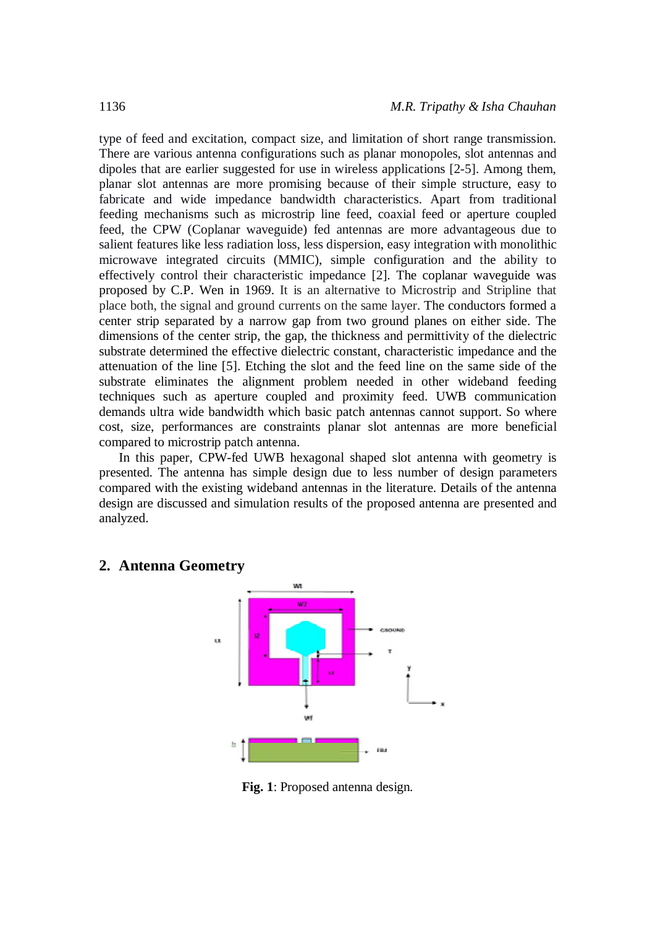type of feed and excitation, compact size, and limitation of short range transmission. There are various antenna configurations such as planar monopoles, slot antennas and dipoles that are earlier suggested for use in wireless applications [2-5]. Among them, planar slot antennas are more promising because of their simple structure, easy to fabricate and wide impedance bandwidth characteristics. Apart from traditional feeding mechanisms such as microstrip line feed, coaxial feed or aperture coupled feed, the CPW (Coplanar waveguide) fed antennas are more advantageous due to salient features like less radiation loss, less dispersion, easy integration with monolithic microwave integrated circuits (MMIC), simple configuration and the ability to effectively control their characteristic impedance [2]. The coplanar waveguide was proposed by C.P. Wen in 1969. It is an alternative to Microstrip and Stripline that place both, the signal and ground currents on the same layer. The conductors formed a center strip separated by a narrow gap from two ground planes on either side. The dimensions of the center strip, the gap, the thickness and permittivity of the dielectric substrate determined the effective dielectric constant, characteristic impedance and the attenuation of the line [5]. Etching the slot and the feed line on the same side of the substrate eliminates the alignment problem needed in other wideband feeding techniques such as aperture coupled and proximity feed. UWB communication demands ultra wide bandwidth which basic patch antennas cannot support. So where cost, size, performances are constraints planar slot antennas are more beneficial compared to microstrip patch antenna.

In this paper, CPW-fed UWB hexagonal shaped slot antenna with geometry is presented. The antenna has simple design due to less number of design parameters compared with the existing wideband antennas in the literature. Details of the antenna design are discussed and simulation results of the proposed antenna are presented and analyzed.



# **2. Antenna Geometry**

**Fig. 1**: Proposed antenna design.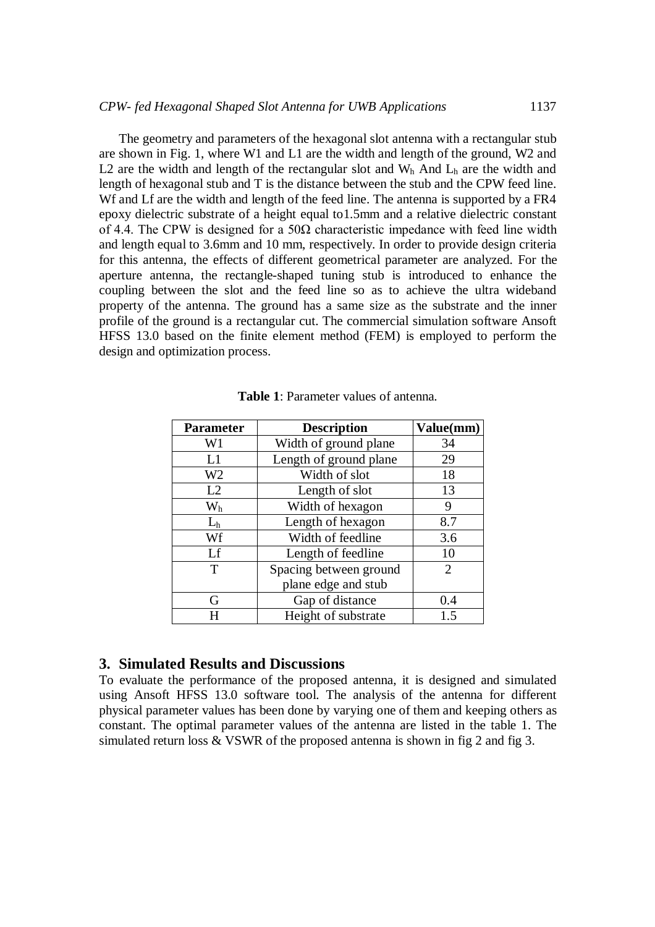The geometry and parameters of the hexagonal slot antenna with a rectangular stub are shown in Fig. 1, where W1 and L1 are the width and length of the ground, W2 and L2 are the width and length of the rectangular slot and  $W<sub>h</sub>$  And  $L<sub>h</sub>$  are the width and length of hexagonal stub and T is the distance between the stub and the CPW feed line. Wf and Lf are the width and length of the feed line. The antenna is supported by a FR4 epoxy dielectric substrate of a height equal to1.5mm and a relative dielectric constant of 4.4. The CPW is designed for a  $50\Omega$  characteristic impedance with feed line width and length equal to 3.6mm and 10 mm, respectively. In order to provide design criteria for this antenna, the effects of different geometrical parameter are analyzed. For the aperture antenna, the rectangle-shaped tuning stub is introduced to enhance the coupling between the slot and the feed line so as to achieve the ultra wideband property of the antenna. The ground has a same size as the substrate and the inner profile of the ground is a rectangular cut. The commercial simulation software Ansoft HFSS 13.0 based on the finite element method (FEM) is employed to perform the design and optimization process.

| Parameter      | <b>Description</b>     | Value(mm) |
|----------------|------------------------|-----------|
| W1             | Width of ground plane  | 34        |
| L1             | Length of ground plane | 29        |
| W <sub>2</sub> | Width of slot          | 18        |
| L2             | Length of slot         | 13        |
| $\rm W_h$      | Width of hexagon       | 9         |
| $L_h$          | Length of hexagon      | 8.7       |
| Wf             | Width of feedline      | 3.6       |
| Lf             | Length of feedline     | 10        |
| T              | Spacing between ground | 2         |
|                | plane edge and stub    |           |
| G              | Gap of distance        | 0.4       |
| H              | Height of substrate    | 1.5       |

| <b>Table 1:</b> Parameter values of antenna. |
|----------------------------------------------|
|----------------------------------------------|

# **3. Simulated Results and Discussions**

To evaluate the performance of the proposed antenna, it is designed and simulated using Ansoft HFSS 13.0 software tool. The analysis of the antenna for different physical parameter values has been done by varying one of them and keeping others as constant. The optimal parameter values of the antenna are listed in the table 1. The simulated return loss & VSWR of the proposed antenna is shown in fig 2 and fig 3.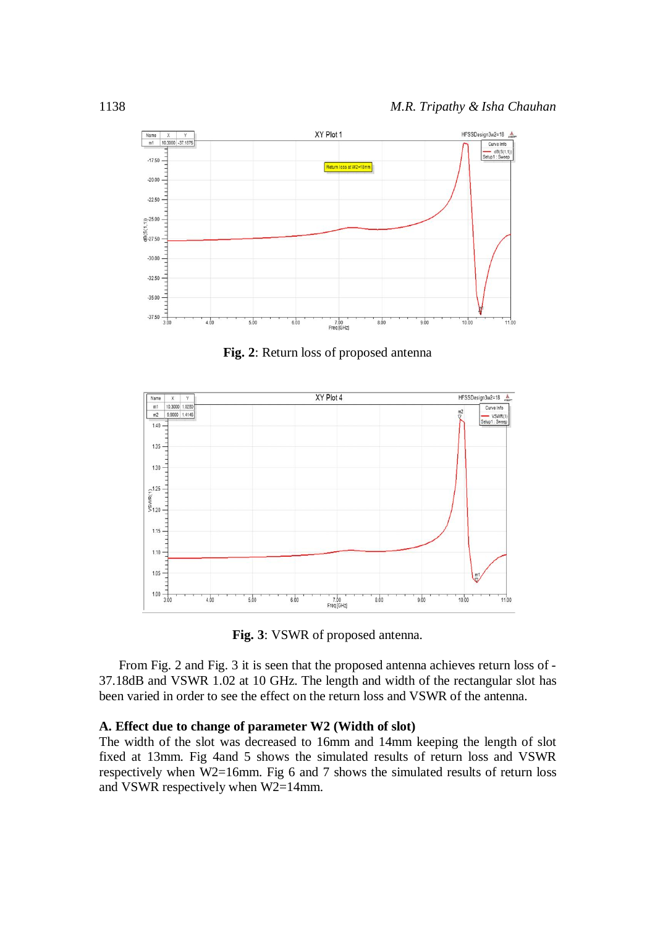

**Fig. 2**: Return loss of proposed antenna



**Fig. 3**: VSWR of proposed antenna.

From Fig. 2 and Fig. 3 it is seen that the proposed antenna achieves return loss of - 37.18dB and VSWR 1.02 at 10 GHz. The length and width of the rectangular slot has been varied in order to see the effect on the return loss and VSWR of the antenna.

#### **A. Effect due to change of parameter W2 (Width of slot)**

The width of the slot was decreased to 16mm and 14mm keeping the length of slot fixed at 13mm. Fig 4and 5 shows the simulated results of return loss and VSWR respectively when W2=16mm. Fig 6 and 7 shows the simulated results of return loss and VSWR respectively when W2=14mm.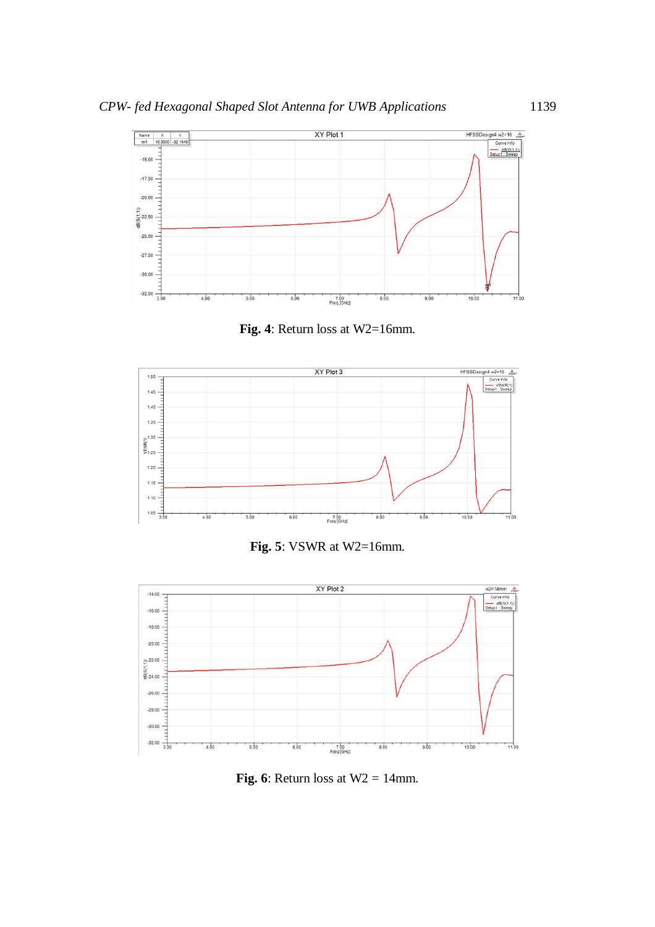

**Fig. 4**: Return loss at W2=16mm.



**Fig. 5**: VSWR at W2=16mm.



**Fig. 6**: Return loss at  $W2 = 14$ mm.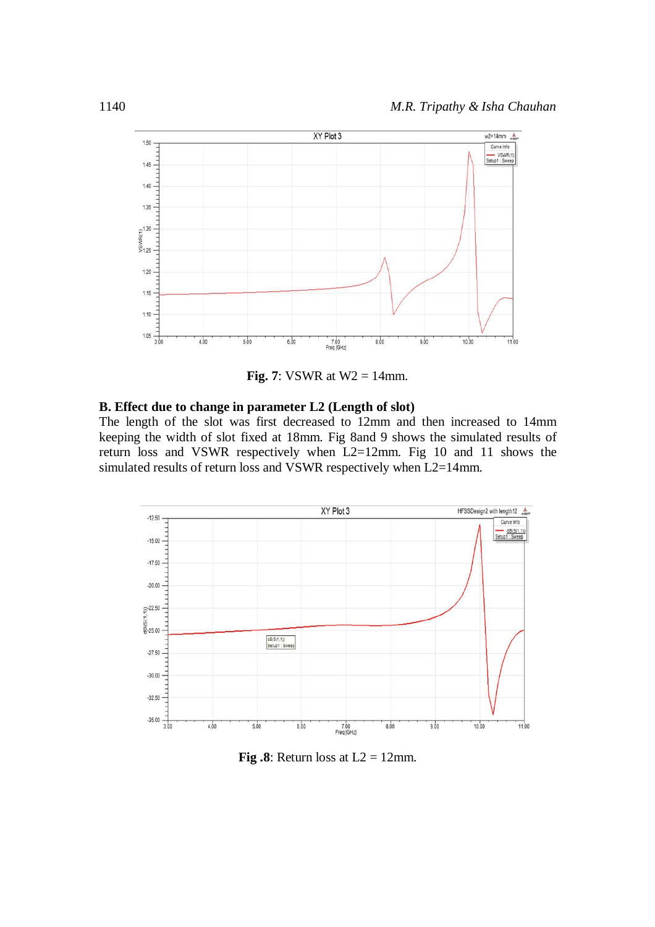

**Fig. 7**: VSWR at  $W2 = 14$ mm.

# **B. Effect due to change in parameter L2 (Length of slot)**

The length of the slot was first decreased to 12mm and then increased to 14mm keeping the width of slot fixed at 18mm. Fig 8and 9 shows the simulated results of return loss and VSWR respectively when L2=12mm. Fig 10 and 11 shows the simulated results of return loss and VSWR respectively when L2=14mm.



**Fig.8**: Return loss at  $L2 = 12$ mm.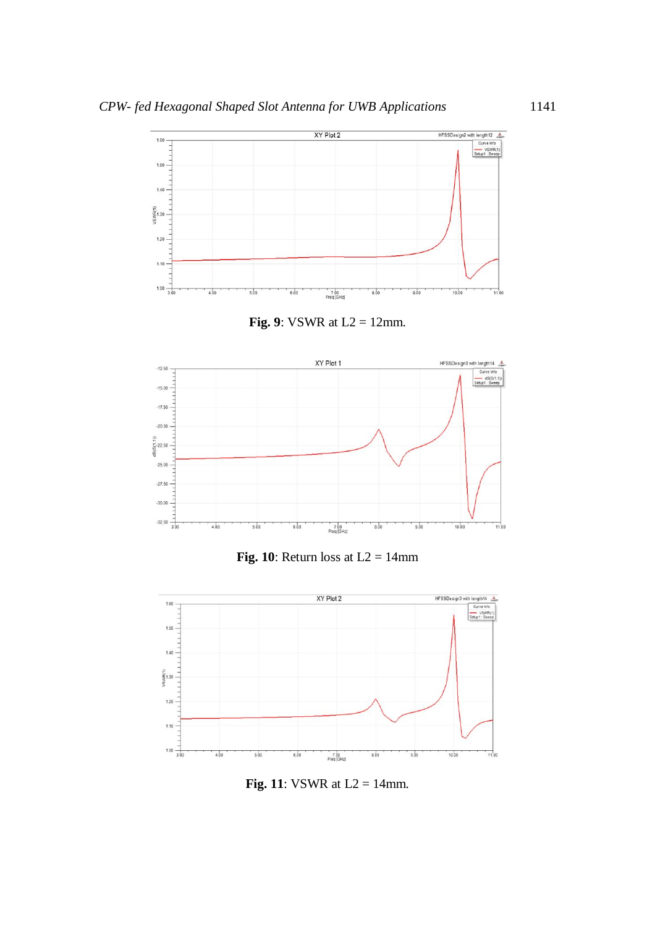





**Fig. 10**: Return loss at  $L2 = 14$ mm



**Fig. 11**: VSWR at  $L2 = 14$ mm.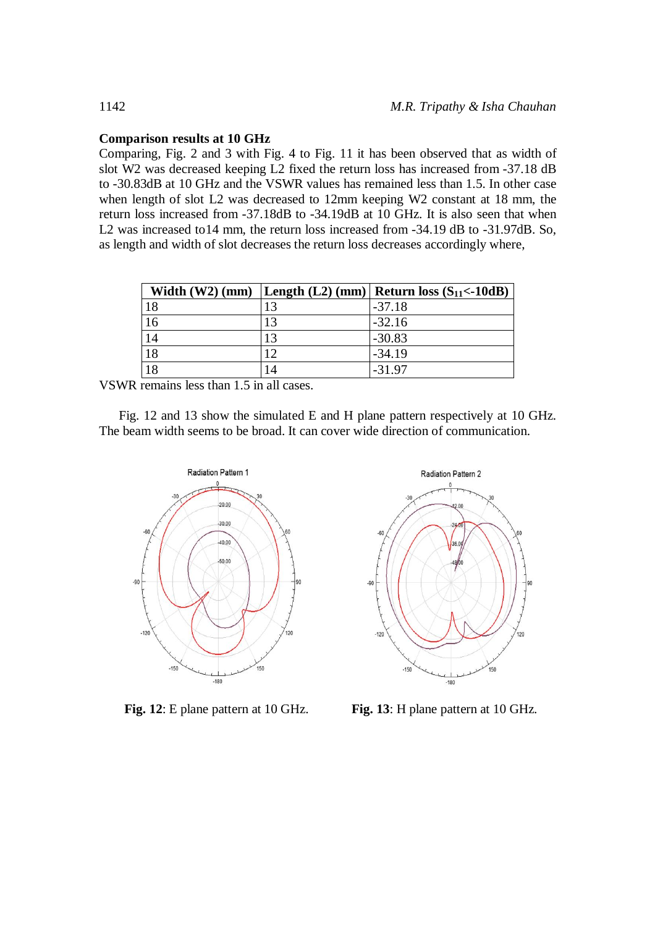# **Comparison results at 10 GHz**

Comparing, Fig. 2 and 3 with Fig. 4 to Fig. 11 it has been observed that as width of slot W2 was decreased keeping L2 fixed the return loss has increased from -37.18 dB to -30.83dB at 10 GHz and the VSWR values has remained less than 1.5. In other case when length of slot L2 was decreased to 12mm keeping W2 constant at 18 mm, the return loss increased from -37.18dB to -34.19dB at 10 GHz. It is also seen that when L<sub>2</sub> was increased to 14 mm, the return loss increased from -34.19 dB to -31.97dB. So, as length and width of slot decreases the return loss decreases accordingly where,

| Width $(W2)$ (mm) |    | Length $(L2)$ (mm)   Return loss $(S_{11} < -10dB)$ |
|-------------------|----|-----------------------------------------------------|
| 18                | 13 | $-37.18$                                            |
| 16                | 13 | $-32.16$                                            |
| 14                | 13 | $-30.83$                                            |
| 18                | 12 | $-34.19$                                            |
| 18                | 14 | $-31.97$                                            |

VSWR remains less than 1.5 in all cases.

Fig. 12 and 13 show the simulated E and H plane pattern respectively at 10 GHz. The beam width seems to be broad. It can cover wide direction of communication.





**Fig. 12**: E plane pattern at 10 GHz. **Fig. 13**: H plane pattern at 10 GHz.